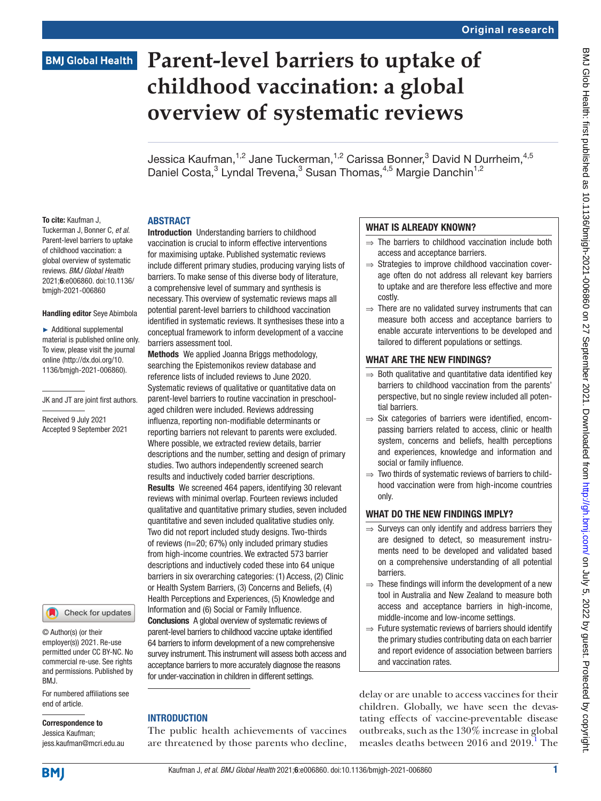# **BMJ Global Health**

# **Parent-level barriers to uptake of childhood vaccination: a global overview of systematic reviews**

Jessica Kaufman,<sup>1,2</sup> Jane Tuckerman,<sup>1,2</sup> Carissa Bonner,<sup>3</sup> David N Durrheim,<sup>4,5</sup> Daniel Costa,<sup>3</sup> Lyndal Trevena,<sup>3</sup> Susan Thomas,<sup>4,5</sup> Margie Danchin<sup>1,2</sup>

# ABSTRACT

To cite: Kaufman J, Tuckerman J, Bonner C, *et al*. Parent-level barriers to uptake of childhood vaccination: a global overview of systematic reviews. *BMJ Global Health* 2021;6:e006860. doi:10.1136/ bmjgh-2021-006860

#### Handling editor Seye Abimbola

► Additional supplemental material is published online only. To view, please visit the journal online ([http://dx.doi.org/10.](http://dx.doi.org/10.1136/bmjgh-2021-006860) [1136/bmjgh-2021-006860](http://dx.doi.org/10.1136/bmjgh-2021-006860)).

JK and JT are joint first authors.

Received 9 July 2021 Accepted 9 September 2021

Check for updates

© Author(s) (or their employer(s)) 2021. Re-use permitted under CC BY-NC. No commercial re-use. See rights and permissions. Published by BMJ.

For numbered affiliations see end of article.

Correspondence to

Jessica Kaufman; jess.kaufman@mcri.edu.au Introduction Understanding barriers to childhood vaccination is crucial to inform effective interventions for maximising uptake. Published systematic reviews include different primary studies, producing varying lists of barriers. To make sense of this diverse body of literature, a comprehensive level of summary and synthesis is necessary. This overview of systematic reviews maps all potential parent-level barriers to childhood vaccination identified in systematic reviews. It synthesises these into a conceptual framework to inform development of a vaccine barriers assessment tool.

Methods We applied Joanna Briggs methodology, searching the Epistemonikos review database and reference lists of included reviews to June 2020. Systematic reviews of qualitative or quantitative data on parent-level barriers to routine vaccination in preschoolaged children were included. Reviews addressing influenza, reporting non-modifiable determinants or reporting barriers not relevant to parents were excluded. Where possible, we extracted review details, barrier descriptions and the number, setting and design of primary studies. Two authors independently screened search results and inductively coded barrier descriptions. Results We screened 464 papers, identifying 30 relevant reviews with minimal overlap. Fourteen reviews included qualitative and quantitative primary studies, seven included quantitative and seven included qualitative studies only. Two did not report included study designs. Two-thirds of reviews (n=20; 67%) only included primary studies from high-income countries. We extracted 573 barrier descriptions and inductively coded these into 64 unique barriers in six overarching categories: (1) Access, (2) Clinic or Health System Barriers, (3) Concerns and Beliefs, (4) Health Perceptions and Experiences, (5) Knowledge and Information and (6) Social or Family Influence.

Conclusions A global overview of systematic reviews of parent-level barriers to childhood vaccine uptake identified 64 barriers to inform development of a new comprehensive survey instrument. This instrument will assess both access and acceptance barriers to more accurately diagnose the reasons for under-vaccination in children in different settings.

# INTRODUCTION

The public health achievements of vaccines are threatened by those parents who decline,

# WHAT IS ALREADY KNOWN?

- $\Rightarrow$  The barriers to childhood vaccination include both access and acceptance barriers.
- ⇒ Strategies to improve childhood vaccination coverage often do not address all relevant key barriers to uptake and are therefore less effective and more costly.
- $\Rightarrow$  There are no validated survey instruments that can measure both access and acceptance barriers to enable accurate interventions to be developed and tailored to different populations or settings.

# WHAT ARE THE NEW FINDINGS?

- $\Rightarrow$  Both qualitative and quantitative data identified key barriers to childhood vaccination from the parents' perspective, but no single review included all potential barriers.
- $\Rightarrow$  Six categories of barriers were identified, encompassing barriers related to access, clinic or health system, concerns and beliefs, health perceptions and experiences, knowledge and information and social or family influence.
- $\Rightarrow$  Two thirds of systematic reviews of barriers to childhood vaccination were from high-income countries only.

# WHAT DO THE NEW FINDINGS IMPLY?

- $\Rightarrow$  Surveys can only identify and address barriers they are designed to detect, so measurement instruments need to be developed and validated based on a comprehensive understanding of all potential barriers.
- $\Rightarrow$  These findings will inform the development of a new tool in Australia and New Zealand to measure both access and acceptance barriers in high-income, middle-income and low-income settings.
- $\Rightarrow$  Future systematic reviews of barriers should identify the primary studies contributing data on each barrier and report evidence of association between barriers and vaccination rates.

delay or are unable to access vaccines for their children. Globally, we have seen the devastating effects of vaccine-preventable disease outbreaks, such as the 130% increase in global measles deaths between 20[1](#page-9-0)6 and 2019.<sup>1</sup> The

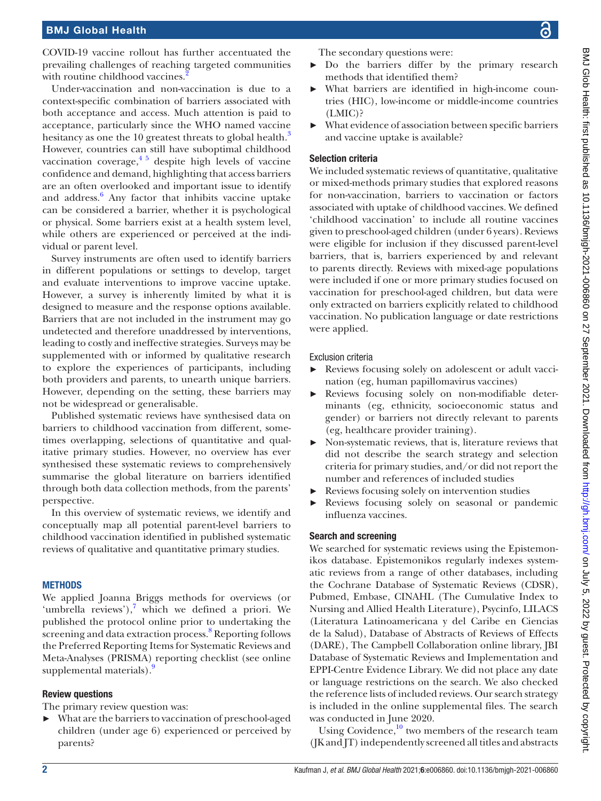COVID-19 vaccine rollout has further accentuated the prevailing challenges of reaching targeted communities with routine childhood vaccines.

Under-vaccination and non-vaccination is due to a context-specific combination of barriers associated with both acceptance and access. Much attention is paid to acceptance, particularly since the WHO named vaccine hesitancy as one the 10 greatest threats to global health.<sup>[3](#page-9-2)</sup> However, countries can still have suboptimal childhood vaccination coverage,  $4\frac{5}{9}$  despite high levels of vaccine confidence and demand, highlighting that access barriers are an often overlooked and important issue to identify and address.<sup>6</sup> Any factor that inhibits vaccine uptake can be considered a barrier, whether it is psychological or physical. Some barriers exist at a health system level, while others are experienced or perceived at the individual or parent level.

Survey instruments are often used to identify barriers in different populations or settings to develop, target and evaluate interventions to improve vaccine uptake. However, a survey is inherently limited by what it is designed to measure and the response options available. Barriers that are not included in the instrument may go undetected and therefore unaddressed by interventions, leading to costly and ineffective strategies. Surveys may be supplemented with or informed by qualitative research to explore the experiences of participants, including both providers and parents, to unearth unique barriers. However, depending on the setting, these barriers may not be widespread or generalisable.

Published systematic reviews have synthesised data on barriers to childhood vaccination from different, sometimes overlapping, selections of quantitative and qualitative primary studies. However, no overview has ever synthesised these systematic reviews to comprehensively summarise the global literature on barriers identified through both data collection methods, from the parents' perspective.

In this overview of systematic reviews, we identify and conceptually map all potential parent-level barriers to childhood vaccination identified in published systematic reviews of qualitative and quantitative primary studies.

#### **METHODS**

We applied Joanna Briggs methods for overviews (or 'umbrella reviews'), $7$  which we defined a priori. We published the protocol online prior to undertaking the screening and data extraction process.<sup>[8](#page-9-6)</sup> Reporting follows the Preferred Reporting Items for Systematic Reviews and Meta-Analyses (PRISMA) reporting checklist (see [online](https://dx.doi.org/10.1136/bmjgh-2021-006860) [supplemental materials](https://dx.doi.org/10.1136/bmjgh-2021-006860)).<sup>9</sup>

# Review questions

The primary review question was:

► What are the barriers to vaccination of preschool-aged children (under age 6) experienced or perceived by parents?

The secondary questions were:

- ► Do the barriers differ by the primary research methods that identified them?
- ► What barriers are identified in high-income countries (HIC), low-income or middle-income countries (LMIC)?
- What evidence of association between specific barriers and vaccine uptake is available?

#### Selection criteria

We included systematic reviews of quantitative, qualitative or mixed-methods primary studies that explored reasons for non-vaccination, barriers to vaccination or factors associated with uptake of childhood vaccines. We defined 'childhood vaccination' to include all routine vaccines given to preschool-aged children (under 6 years). Reviews were eligible for inclusion if they discussed parent-level barriers, that is, barriers experienced by and relevant to parents directly. Reviews with mixed-age populations were included if one or more primary studies focused on vaccination for preschool-aged children, but data were only extracted on barriers explicitly related to childhood vaccination. No publication language or date restrictions were applied.

#### Exclusion criteria

- ► Reviews focusing solely on adolescent or adult vaccination (eg, human papillomavirus vaccines)
- ► Reviews focusing solely on non-modifiable determinants (eg, ethnicity, socioeconomic status and gender) or barriers not directly relevant to parents (eg, healthcare provider training).
- ► Non-systematic reviews, that is, literature reviews that did not describe the search strategy and selection criteria for primary studies, and/or did not report the number and references of included studies
- Reviews focusing solely on intervention studies
- Reviews focusing solely on seasonal or pandemic influenza vaccines.

# Search and screening

We searched for systematic reviews using the Epistemonikos database. Epistemonikos regularly indexes systematic reviews from a range of other databases, including the Cochrane Database of Systematic Reviews (CDSR), Pubmed, Embase, CINAHL (The Cumulative Index to Nursing and Allied Health Literature), Psycinfo, LILACS (Literatura Latinoamericana y del Caribe en Ciencias de la Salud), Database of Abstracts of Reviews of Effects (DARE), The Campbell Collaboration online library, JBI Database of Systematic Reviews and Implementation and EPPI-Centre Evidence Library. We did not place any date or language restrictions on the search. We also checked the reference lists of included reviews. Our search strategy is included in the [online supplemental files.](https://dx.doi.org/10.1136/bmjgh-2021-006860) The search was conducted in June 2020.

Using Covidence, $10$  two members of the research team (JK and JT) independently screened all titles and abstracts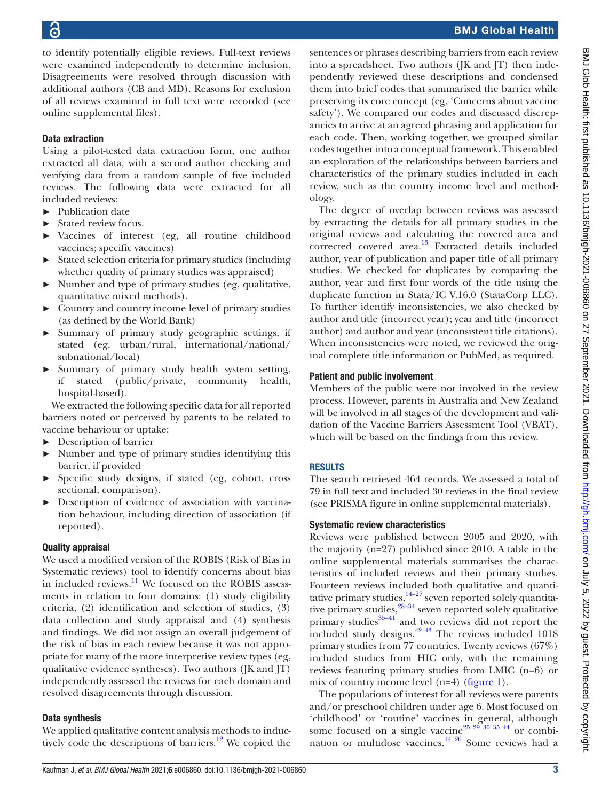to identify potentially eligible reviews. Full-text reviews were examined independently to determine inclusion. Disagreements were resolved through discussion with additional authors (CB and MD). Reasons for exclusion of all reviews examined in full text were recorded (see [online supplemental files\)](https://dx.doi.org/10.1136/bmjgh-2021-006860).

# Data extraction

Using a pilot-tested data extraction form, one author extracted all data, with a second author checking and verifying data from a random sample of five included reviews. The following data were extracted for all included reviews:

- ► Publication date
- Stated review focus.
- ► Vaccines of interest (eg, all routine childhood vaccines; specific vaccines)
- ► Stated selection criteria for primary studies (including whether quality of primary studies was appraised)
- ► Number and type of primary studies (eg, qualitative, quantitative mixed methods).
- ► Country and country income level of primary studies (as defined by the World Bank)
- Summary of primary study geographic settings, if stated (eg, urban/rural, international/national/ subnational/local)
- ► Summary of primary study health system setting, if stated (public/private, community health, hospital-based).

We extracted the following specific data for all reported barriers noted or perceived by parents to be related to vaccine behaviour or uptake:

- ► Description of barrier
- ► Number and type of primary studies identifying this barrier, if provided
- ► Specific study designs, if stated (eg, cohort, cross sectional, comparison).
- ► Description of evidence of association with vaccination behaviour, including direction of association (if reported).

# Quality appraisal

We used a modified version of the ROBIS (Risk of Bias in Systematic reviews) tool to identify concerns about bias in included reviews. $\frac{11}{11}$  We focused on the ROBIS assessments in relation to four domains: (1) study eligibility criteria, (2) identification and selection of studies, (3) data collection and study appraisal and (4) synthesis and findings. We did not assign an overall judgement of the risk of bias in each review because it was not appropriate for many of the more interpretive review types (eg, qualitative evidence syntheses). Two authors (JK and JT) independently assessed the reviews for each domain and resolved disagreements through discussion.

# Data synthesis

We applied qualitative content analysis methods to induc-tively code the descriptions of barriers.<sup>[12](#page-9-10)</sup> We copied the

sentences or phrases describing barriers from each review into a spreadsheet. Two authors  $($  $[K \text{ and } ]T)$  then independently reviewed these descriptions and condensed them into brief codes that summarised the barrier while preserving its core concept (eg, 'Concerns about vaccine safety'). We compared our codes and discussed discrepancies to arrive at an agreed phrasing and application for each code. Then, working together, we grouped similar codes together into a conceptual framework. This enabled an exploration of the relationships between barriers and characteristics of the primary studies included in each review, such as the country income level and methodology.

The degree of overlap between reviews was assessed by extracting the details for all primary studies in the original reviews and calculating the covered area and corrected covered area.<sup>[13](#page-9-11)</sup> Extracted details included author, year of publication and paper title of all primary studies. We checked for duplicates by comparing the author, year and first four words of the title using the duplicate function in Stata/IC V.16.0 (StataCorp LLC). To further identify inconsistencies, we also checked by author and title (incorrect year); year and title (incorrect author) and author and year (inconsistent title citations). When inconsistencies were noted, we reviewed the original complete title information or PubMed, as required.

# Patient and public involvement

Members of the public were not involved in the review process. However, parents in Australia and New Zealand will be involved in all stages of the development and validation of the Vaccine Barriers Assessment Tool (VBAT), which will be based on the findings from this review.

# RESULTS

The search retrieved 464 records. We assessed a total of 79 in full text and included 30 reviews in the final review (see PRISMA figure in [online supplemental materials\)](https://dx.doi.org/10.1136/bmjgh-2021-006860).

# Systematic review characteristics

Reviews were published between 2005 and 2020, with the majority (n=27) published since 2010. A table in the [online supplemental materials](https://dx.doi.org/10.1136/bmjgh-2021-006860) summarises the characteristics of included reviews and their primary studies. Fourteen reviews included both qualitative and quantitative primary studies,  $14-27$  seven reported solely quantitative primary studies,<sup>28–34</sup> seven reported solely qualitative primary studies<sup>35-41</sup> and two reviews did not report the included study designs. $42 \frac{43}{10}$  The reviews included 1018 primary studies from 77 countries. Twenty reviews (67%) included studies from HIC only, with the remaining reviews featuring primary studies from LMIC (n=6) or mix of country income level  $(n=4)$  [\(figure](#page-3-0) 1).

The populations of interest for all reviews were parents and/or preschool children under age 6. Most focused on 'childhood' or 'routine' vaccines in general, although some focused on a single vaccine<sup>25</sup>  $29\frac{30\frac{35}{44}}{90}$  or combination or multidose vaccines.[14 26](#page-9-12) Some reviews had a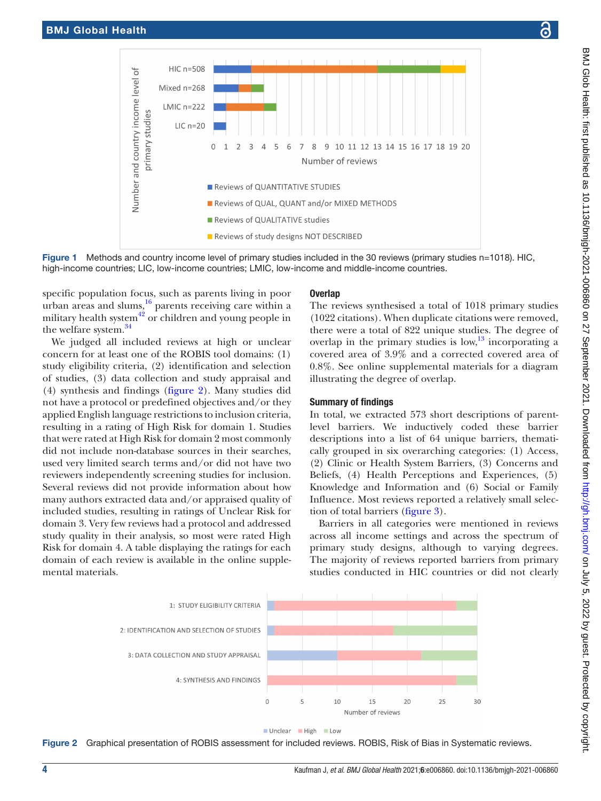

Figure 1 Methods and country income level of primary studies included in the 30 reviews (primary studies n=1018). HIC, high-income countries; LIC, low-income countries; LMIC, low-income and middle-income countries.

specific population focus, such as parents living in poor urban areas and slums, $^{16}$  $^{16}$  $^{16}$  parents receiving care within a military health system $42$  or children and young people in the welfare system.[34](#page-10-5)

We judged all included reviews at high or unclear concern for at least one of the ROBIS tool domains: (1) study eligibility criteria, (2) identification and selection of studies, (3) data collection and study appraisal and (4) synthesis and findings [\(figure](#page-3-1) 2). Many studies did not have a protocol or predefined objectives and/or they applied English language restrictions to inclusion criteria, resulting in a rating of High Risk for domain 1. Studies that were rated at High Risk for domain 2 most commonly did not include non-database sources in their searches, used very limited search terms and/or did not have two reviewers independently screening studies for inclusion. Several reviews did not provide information about how many authors extracted data and/or appraised quality of included studies, resulting in ratings of Unclear Risk for domain 3. Very few reviews had a protocol and addressed study quality in their analysis, so most were rated High Risk for domain 4. A table displaying the ratings for each domain of each review is available in the [online supple](https://dx.doi.org/10.1136/bmjgh-2021-006860)[mental materials.](https://dx.doi.org/10.1136/bmjgh-2021-006860)

# <span id="page-3-0"></span>**Overlap**

The reviews synthesised a total of 1018 primary studies (1022 citations). When duplicate citations were removed, there were a total of 822 unique studies. The degree of overlap in the primary studies is low, $^{13}$  $^{13}$  $^{13}$  incorporating a covered area of 3.9% and a corrected covered area of 0.8%. See [online supplemental materials](https://dx.doi.org/10.1136/bmjgh-2021-006860) for a diagram illustrating the degree of overlap.

# Summary of findings

In total, we extracted 573 short descriptions of parentlevel barriers. We inductively coded these barrier descriptions into a list of 64 unique barriers, thematically grouped in six overarching categories: (1) Access, (2) Clinic or Health System Barriers, (3) Concerns and Beliefs, (4) Health Perceptions and Experiences, (5) Knowledge and Information and (6) Social or Family Influence. Most reviews reported a relatively small selection of total barriers ([figure](#page-4-0) 3).

Barriers in all categories were mentioned in reviews across all income settings and across the spectrum of primary study designs, although to varying degrees. The majority of reviews reported barriers from primary studies conducted in HIC countries or did not clearly



<span id="page-3-1"></span>

Figure 2 Graphical presentation of ROBIS assessment for included reviews. ROBIS, Risk of Bias in Systematic reviews.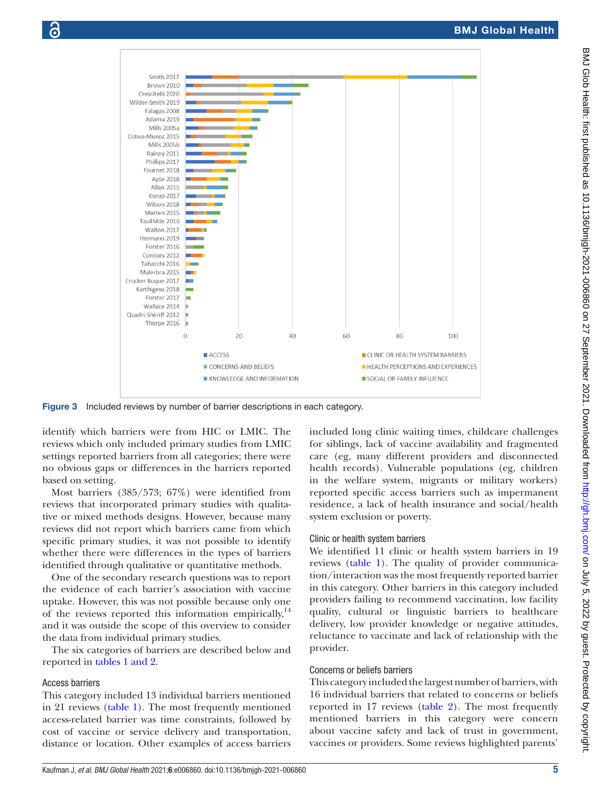



Figure 3 Included reviews by number of barrier descriptions in each category.

 $\blacksquare$  ACCESS

CONCERNS AND BELIEFS

<span id="page-4-0"></span>KNOWLEDGE AND INFORMATION

identify which barriers were from HIC or LMIC. The reviews which only included primary studies from LMIC settings reported barriers from all categories; there were no obvious gaps or differences in the barriers reported based on setting.

Most barriers (385/573; 67%) were identified from reviews that incorporated primary studies with qualitative or mixed methods designs. However, because many reviews did not report which barriers came from which specific primary studies, it was not possible to identify whether there were differences in the types of barriers identified through qualitative or quantitative methods.

One of the secondary research questions was to report the evidence of each barrier's association with vaccine uptake. However, this was not possible because only one of the reviews reported this information empirically,<sup>14</sup> and it was outside the scope of this overview to consider the data from individual primary studies.

The six categories of barriers are described below and reported in tables [1 and 2](#page-5-0).

# Access barriers

This category included 13 individual barriers mentioned in 21 reviews ([table](#page-5-0) 1). The most frequently mentioned access-related barrier was time constraints, followed by cost of vaccine or service delivery and transportation, distance or location. Other examples of access barriers

Clinic or health system barriers

system exclusion or poverty.

We identified 11 clinic or health system barriers in 19 reviews ([table](#page-5-0) 1). The quality of provider communication/interaction was the most frequently reported barrier in this category. Other barriers in this category included providers failing to recommend vaccination, low facility quality, cultural or linguistic barriers to healthcare delivery, low provider knowledge or negative attitudes, reluctance to vaccinate and lack of relationship with the provider.

residence, a lack of health insurance and social/health

# Concerns or beliefs barriers

This category included the largest number of barriers, with 16 individual barriers that related to concerns or beliefs reported in 17 reviews [\(table](#page-6-0) 2). The most frequently mentioned barriers in this category were concern about vaccine safety and lack of trust in government, vaccines or providers. Some reviews highlighted parents'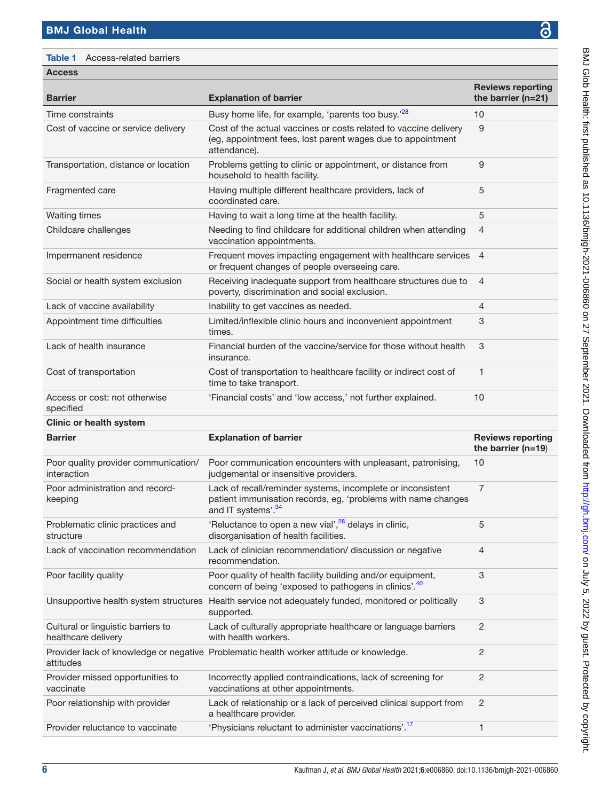<span id="page-5-0"></span>Table 1 Access-related barriers

| <b>Reviews reporting</b>                                  |                                                                                                                                                                |                                                  |  |
|-----------------------------------------------------------|----------------------------------------------------------------------------------------------------------------------------------------------------------------|--------------------------------------------------|--|
| <b>Barrier</b>                                            | <b>Explanation of barrier</b>                                                                                                                                  | the barrier ( $n=21$ )                           |  |
| Time constraints                                          | Busy home life, for example, 'parents too busy.' <sup>28</sup>                                                                                                 | 10                                               |  |
| Cost of vaccine or service delivery                       | Cost of the actual vaccines or costs related to vaccine delivery<br>(eg, appointment fees, lost parent wages due to appointment<br>attendance).                | 9                                                |  |
| Transportation, distance or location                      | Problems getting to clinic or appointment, or distance from<br>household to health facility.                                                                   | 9                                                |  |
| Fragmented care                                           | Having multiple different healthcare providers, lack of<br>coordinated care.                                                                                   | 5                                                |  |
| <b>Waiting times</b>                                      | Having to wait a long time at the health facility.                                                                                                             | 5                                                |  |
| Childcare challenges                                      | Needing to find childcare for additional children when attending<br>vaccination appointments.                                                                  | 4                                                |  |
| Impermanent residence                                     | Frequent moves impacting engagement with healthcare services<br>or frequent changes of people overseeing care.                                                 | $\overline{4}$                                   |  |
| Social or health system exclusion                         | Receiving inadequate support from healthcare structures due to<br>poverty, discrimination and social exclusion.                                                | $\overline{4}$                                   |  |
| Lack of vaccine availability                              | Inability to get vaccines as needed.                                                                                                                           | 4                                                |  |
| Appointment time difficulties                             | Limited/inflexible clinic hours and inconvenient appointment<br>times.                                                                                         | 3                                                |  |
| Lack of health insurance                                  | Financial burden of the vaccine/service for those without health<br>insurance.                                                                                 | 3                                                |  |
| Cost of transportation                                    | Cost of transportation to healthcare facility or indirect cost of<br>time to take transport.                                                                   | 1                                                |  |
| Access or cost: not otherwise<br>specified                | 'Financial costs' and 'low access,' not further explained.                                                                                                     | 10                                               |  |
| <b>Clinic or health system</b>                            |                                                                                                                                                                |                                                  |  |
| <b>Barrier</b>                                            | <b>Explanation of barrier</b>                                                                                                                                  | <b>Reviews reporting</b><br>the barrier $(n=19)$ |  |
| Poor quality provider communication/<br>interaction       | Poor communication encounters with unpleasant, patronising,<br>judgemental or insensitive providers.                                                           | 10                                               |  |
| Poor administration and record-<br>keeping                | Lack of recall/reminder systems, incomplete or inconsistent<br>patient immunisation records, eg, 'problems with name changes<br>and IT systems'. <sup>34</sup> | $\overline{7}$                                   |  |
| Problematic clinic practices and<br>structure             | 'Reluctance to open a new vial', <sup>28</sup> delays in clinic,<br>disorganisation of health facilities.                                                      | 5                                                |  |
| Lack of vaccination recommendation                        | Lack of clinician recommendation/ discussion or negative<br>recommendation.                                                                                    | 4                                                |  |
| Poor facility quality                                     | Poor quality of health facility building and/or equipment,<br>concern of being 'exposed to pathogens in clinics'. <sup>40</sup>                                | 3                                                |  |
|                                                           | Unsupportive health system structures Health service not adequately funded, monitored or politically<br>supported.                                             | 3                                                |  |
| Cultural or linguistic barriers to<br>healthcare delivery | Lack of culturally appropriate healthcare or language barriers<br>with health workers.                                                                         | $\overline{c}$                                   |  |
| attitudes                                                 | Provider lack of knowledge or negative Problematic health worker attitude or knowledge.                                                                        | $\overline{c}$                                   |  |
| Provider missed opportunities to<br>vaccinate             | Incorrectly applied contraindications, lack of screening for<br>vaccinations at other appointments.                                                            | $\overline{c}$                                   |  |
| Poor relationship with provider                           | Lack of relationship or a lack of perceived clinical support from<br>a healthcare provider.                                                                    | $\overline{c}$                                   |  |
| Provider reluctance to vaccinate                          | 'Physicians reluctant to administer vaccinations'. <sup>17</sup>                                                                                               | 1                                                |  |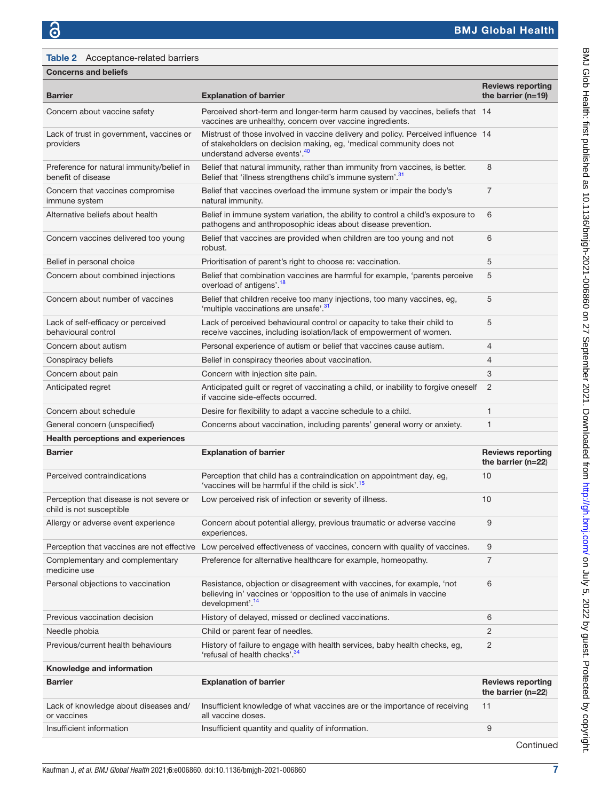<span id="page-6-0"></span>

| <b>Concerns and beliefs</b> |  |
|-----------------------------|--|
|-----------------------------|--|

| <b>Barrier</b>                                                       | <b>Explanation of barrier</b>                                                                                                                                                                         | <b>Reviews reporting</b><br>the barrier ( $n=19$ ) |
|----------------------------------------------------------------------|-------------------------------------------------------------------------------------------------------------------------------------------------------------------------------------------------------|----------------------------------------------------|
| Concern about vaccine safety                                         | Perceived short-term and longer-term harm caused by vaccines, beliefs that 14<br>vaccines are unhealthy, concern over vaccine ingredients.                                                            |                                                    |
| Lack of trust in government, vaccines or<br>providers                | Mistrust of those involved in vaccine delivery and policy. Perceived influence 14<br>of stakeholders on decision making, eg, 'medical community does not<br>understand adverse events'. <sup>40</sup> |                                                    |
| Preference for natural immunity/belief in<br>benefit of disease      | Belief that natural immunity, rather than immunity from vaccines, is better.<br>Belief that 'illness strengthens child's immune system'. <sup>31</sup>                                                | 8                                                  |
| Concern that vaccines compromise<br>immune system                    | Belief that vaccines overload the immune system or impair the body's<br>natural immunity.                                                                                                             | $\overline{7}$                                     |
| Alternative beliefs about health                                     | Belief in immune system variation, the ability to control a child's exposure to<br>pathogens and anthroposophic ideas about disease prevention.                                                       | 6                                                  |
| Concern vaccines delivered too young                                 | Belief that vaccines are provided when children are too young and not<br>robust.                                                                                                                      | 6                                                  |
| Belief in personal choice                                            | Prioritisation of parent's right to choose re: vaccination.                                                                                                                                           | 5                                                  |
| Concern about combined injections                                    | Belief that combination vaccines are harmful for example, 'parents perceive<br>overload of antigens'. <sup>18</sup>                                                                                   | 5                                                  |
| Concern about number of vaccines                                     | Belief that children receive too many injections, too many vaccines, eg,<br>'multiple vaccinations are unsafe'. <sup>31</sup>                                                                         | 5                                                  |
| Lack of self-efficacy or perceived<br>behavioural control            | Lack of perceived behavioural control or capacity to take their child to<br>receive vaccines, including isolation/lack of empowerment of women.                                                       | 5                                                  |
| Concern about autism                                                 | Personal experience of autism or belief that vaccines cause autism.                                                                                                                                   | $\overline{4}$                                     |
| Conspiracy beliefs                                                   | Belief in conspiracy theories about vaccination.                                                                                                                                                      | $\overline{4}$                                     |
| Concern about pain                                                   | Concern with injection site pain.                                                                                                                                                                     | 3                                                  |
| Anticipated regret                                                   | Anticipated guilt or regret of vaccinating a child, or inability to forgive oneself<br>if vaccine side-effects occurred.                                                                              | $\overline{2}$                                     |
| Concern about schedule                                               | Desire for flexibility to adapt a vaccine schedule to a child.                                                                                                                                        | 1                                                  |
| General concern (unspecified)                                        | Concerns about vaccination, including parents' general worry or anxiety.                                                                                                                              | 1                                                  |
| <b>Health perceptions and experiences</b>                            |                                                                                                                                                                                                       |                                                    |
| <b>Barrier</b>                                                       | <b>Explanation of barrier</b>                                                                                                                                                                         | <b>Reviews reporting</b><br>the barrier ( $n=22$ ) |
| Perceived contraindications                                          | Perception that child has a contraindication on appointment day, eg,<br>'vaccines will be harmful if the child is sick'. <sup>15</sup>                                                                | 10                                                 |
| Perception that disease is not severe or<br>child is not susceptible | Low perceived risk of infection or severity of illness.                                                                                                                                               | 10                                                 |
| Allergy or adverse event experience                                  | Concern about potential allergy, previous traumatic or adverse vaccine<br>experiences.                                                                                                                | 9                                                  |
|                                                                      | Perception that vaccines are not effective Low perceived effectiveness of vaccines, concern with quality of vaccines.                                                                                 | 9                                                  |
| Complementary and complementary<br>medicine use                      | Preference for alternative healthcare for example, homeopathy.                                                                                                                                        | $\overline{7}$                                     |
| Personal objections to vaccination                                   | Resistance, objection or disagreement with vaccines, for example, 'not<br>believing in' vaccines or 'opposition to the use of animals in vaccine<br>development'. <sup>14</sup>                       | 6                                                  |
| Previous vaccination decision                                        | History of delayed, missed or declined vaccinations.                                                                                                                                                  | 6                                                  |
| Needle phobia                                                        | Child or parent fear of needles.                                                                                                                                                                      | $\overline{c}$                                     |
| Previous/current health behaviours                                   | History of failure to engage with health services, baby health checks, eg,<br>'refusal of health checks'. <sup>34</sup>                                                                               | $\overline{c}$                                     |
| Knowledge and information                                            |                                                                                                                                                                                                       |                                                    |
| <b>Barrier</b>                                                       | <b>Explanation of barrier</b>                                                                                                                                                                         | <b>Reviews reporting</b><br>the barrier ( $n=22$ ) |
| Lack of knowledge about diseases and/<br>or vaccines                 | Insufficient knowledge of what vaccines are or the importance of receiving<br>all vaccine doses.                                                                                                      | 11                                                 |
| Insufficient information                                             | Insufficient quantity and quality of information.                                                                                                                                                     | 9                                                  |

BMJ Glob Health: first published as 10.1136/bmjgh-2021-006860 on 27 September 2021. Downloaded from but <http://gh.bmj.com/> on July 5, 2022 by guest. Protected by copyright.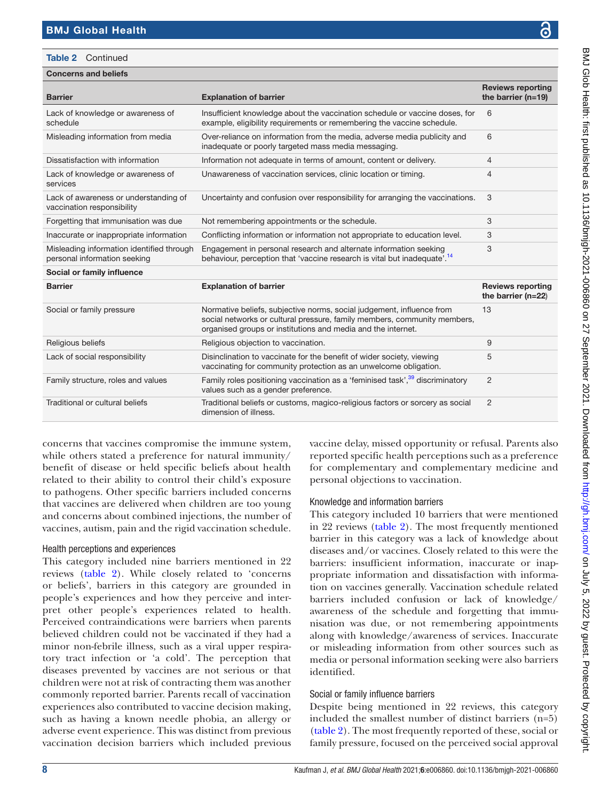# Concerns and beliefs Table 2 Continued

| <b>Barrier</b>                                                            | <b>Explanation of barrier</b>                                                                                                                                                                                     | <b>Reviews reporting</b><br>the barrier $(n=19)$ |
|---------------------------------------------------------------------------|-------------------------------------------------------------------------------------------------------------------------------------------------------------------------------------------------------------------|--------------------------------------------------|
| Lack of knowledge or awareness of<br>schedule                             | Insufficient knowledge about the vaccination schedule or vaccine doses, for<br>example, eligibility requirements or remembering the vaccine schedule.                                                             | 6                                                |
| Misleading information from media                                         | Over-reliance on information from the media, adverse media publicity and<br>inadequate or poorly targeted mass media messaging.                                                                                   | 6                                                |
| Dissatisfaction with information                                          | Information not adequate in terms of amount, content or delivery.                                                                                                                                                 | 4                                                |
| Lack of knowledge or awareness of<br>services                             | Unawareness of vaccination services, clinic location or timing.                                                                                                                                                   | 4                                                |
| Lack of awareness or understanding of<br>vaccination responsibility       | Uncertainty and confusion over responsibility for arranging the vaccinations.                                                                                                                                     | 3                                                |
| Forgetting that immunisation was due                                      | Not remembering appointments or the schedule.                                                                                                                                                                     | 3                                                |
| Inaccurate or inappropriate information                                   | Conflicting information or information not appropriate to education level.                                                                                                                                        | 3                                                |
| Misleading information identified through<br>personal information seeking | Engagement in personal research and alternate information seeking<br>behaviour, perception that 'vaccine research is vital but inadequate'. <sup>14</sup>                                                         | 3                                                |
| Social or family influence                                                |                                                                                                                                                                                                                   |                                                  |
| <b>Barrier</b>                                                            | <b>Explanation of barrier</b>                                                                                                                                                                                     |                                                  |
|                                                                           |                                                                                                                                                                                                                   | <b>Reviews reporting</b><br>the barrier (n=22)   |
| Social or family pressure                                                 | Normative beliefs, subjective norms, social judgement, influence from<br>social networks or cultural pressure, family members, community members,<br>organised groups or institutions and media and the internet. | 13                                               |
| Religious beliefs                                                         | Religious objection to vaccination.                                                                                                                                                                               | 9                                                |
| Lack of social responsibility                                             | Disinclination to vaccinate for the benefit of wider society, viewing<br>vaccinating for community protection as an unwelcome obligation.                                                                         | 5                                                |
| Family structure, roles and values                                        | Family roles positioning vaccination as a 'feminised task', <sup>39</sup> discriminatory<br>values such as a gender preference.                                                                                   | 2                                                |
| Traditional or cultural beliefs                                           | Traditional beliefs or customs, magico-religious factors or sorcery as social<br>dimension of illness.                                                                                                            | $\overline{2}$                                   |

concerns that vaccines compromise the immune system, while others stated a preference for natural immunity/ benefit of disease or held specific beliefs about health related to their ability to control their child's exposure to pathogens. Other specific barriers included concerns that vaccines are delivered when children are too young and concerns about combined injections, the number of vaccines, autism, pain and the rigid vaccination schedule.

# Health perceptions and experiences

This category included nine barriers mentioned in 22 reviews [\(table](#page-6-0) 2). While closely related to 'concerns or beliefs', barriers in this category are grounded in people's experiences and how they perceive and interpret other people's experiences related to health. Perceived contraindications were barriers when parents believed children could not be vaccinated if they had a minor non-febrile illness, such as a viral upper respiratory tract infection or 'a cold'. The perception that diseases prevented by vaccines are not serious or that children were not at risk of contracting them was another commonly reported barrier. Parents recall of vaccination experiences also contributed to vaccine decision making, such as having a known needle phobia, an allergy or adverse event experience. This was distinct from previous vaccination decision barriers which included previous

vaccine delay, missed opportunity or refusal. Parents also reported specific health perceptions such as a preference for complementary and complementary medicine and personal objections to vaccination.

# Knowledge and information barriers

This category included 10 barriers that were mentioned in 22 reviews ([table](#page-6-0) 2). The most frequently mentioned barrier in this category was a lack of knowledge about diseases and/or vaccines. Closely related to this were the barriers: insufficient information, inaccurate or inappropriate information and dissatisfaction with information on vaccines generally. Vaccination schedule related barriers included confusion or lack of knowledge/ awareness of the schedule and forgetting that immunisation was due, or not remembering appointments along with knowledge/awareness of services. Inaccurate or misleading information from other sources such as media or personal information seeking were also barriers identified.

# Social or family influence barriers

Despite being mentioned in 22 reviews, this category included the smallest number of distinct barriers (n=5) [\(table](#page-6-0) 2). The most frequently reported of these, social or family pressure, focused on the perceived social approval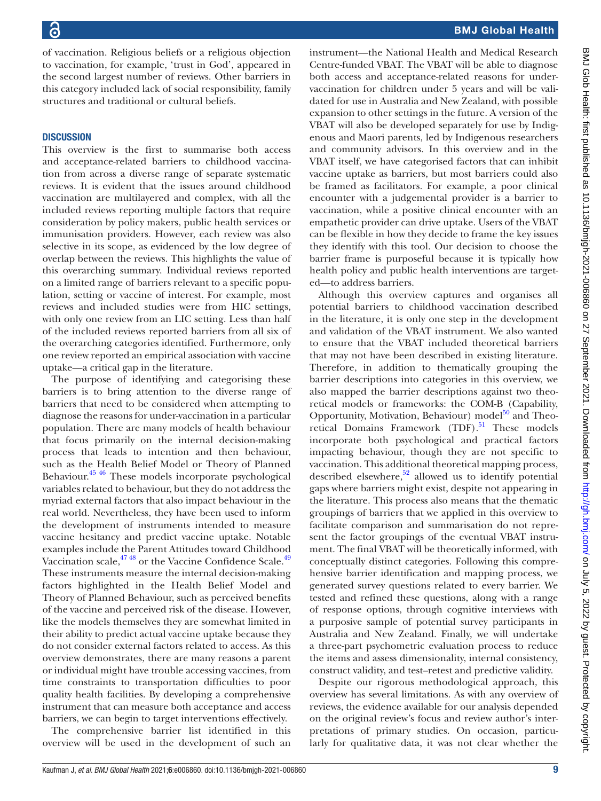of vaccination. Religious beliefs or a religious objection to vaccination, for example, 'trust in God', appeared in the second largest number of reviews. Other barriers in this category included lack of social responsibility, family structures and traditional or cultural beliefs.

# **DISCUSSION**

This overview is the first to summarise both access and acceptance-related barriers to childhood vaccination from across a diverse range of separate systematic reviews. It is evident that the issues around childhood vaccination are multilayered and complex, with all the included reviews reporting multiple factors that require consideration by policy makers, public health services or immunisation providers. However, each review was also selective in its scope, as evidenced by the low degree of overlap between the reviews. This highlights the value of this overarching summary. Individual reviews reported on a limited range of barriers relevant to a specific population, setting or vaccine of interest. For example, most reviews and included studies were from HIC settings, with only one review from an LIC setting. Less than half of the included reviews reported barriers from all six of the overarching categories identified. Furthermore, only one review reported an empirical association with vaccine uptake—a critical gap in the literature.

The purpose of identifying and categorising these barriers is to bring attention to the diverse range of barriers that need to be considered when attempting to diagnose the reasons for under-vaccination in a particular population. There are many models of health behaviour that focus primarily on the internal decision-making process that leads to intention and then behaviour, such as the Health Belief Model or Theory of Planned Behaviour[.45 46](#page-10-11) These models incorporate psychological variables related to behaviour, but they do not address the myriad external factors that also impact behaviour in the real world. Nevertheless, they have been used to inform the development of instruments intended to measure vaccine hesitancy and predict vaccine uptake. Notable examples include the Parent Attitudes toward Childhood Vaccination scale,<sup>47 48</sup> or the Vaccine Confidence Scale.<sup>49</sup> These instruments measure the internal decision-making factors highlighted in the Health Belief Model and Theory of Planned Behaviour, such as perceived benefits of the vaccine and perceived risk of the disease. However, like the models themselves they are somewhat limited in their ability to predict actual vaccine uptake because they do not consider external factors related to access. As this overview demonstrates, there are many reasons a parent or individual might have trouble accessing vaccines, from time constraints to transportation difficulties to poor quality health facilities. By developing a comprehensive instrument that can measure both acceptance and access barriers, we can begin to target interventions effectively.

The comprehensive barrier list identified in this overview will be used in the development of such an instrument—the National Health and Medical Research Centre-funded VBAT. The VBAT will be able to diagnose both access and acceptance-related reasons for undervaccination for children under 5 years and will be validated for use in Australia and New Zealand, with possible expansion to other settings in the future. A version of the VBAT will also be developed separately for use by Indigenous and Maori parents, led by Indigenous researchers and community advisors. In this overview and in the VBAT itself, we have categorised factors that can inhibit vaccine uptake as barriers, but most barriers could also be framed as facilitators. For example, a poor clinical encounter with a judgemental provider is a barrier to vaccination, while a positive clinical encounter with an empathetic provider can drive uptake. Users of the VBAT can be flexible in how they decide to frame the key issues they identify with this tool. Our decision to choose the barrier frame is purposeful because it is typically how health policy and public health interventions are targeted—to address barriers.

Although this overview captures and organises all potential barriers to childhood vaccination described in the literature, it is only one step in the development and validation of the VBAT instrument. We also wanted to ensure that the VBAT included theoretical barriers that may not have been described in existing literature. Therefore, in addition to thematically grouping the barrier descriptions into categories in this overview, we also mapped the barrier descriptions against two theoretical models or frameworks: the COM-B (Capability, Opportunity, Motivation, Behaviour) model $^{50}$  and Theoretical Domains Framework (TDF).<sup>51</sup> These models incorporate both psychological and practical factors impacting behaviour, though they are not specific to vaccination. This additional theoretical mapping process, described elsewhere, $52$  allowed us to identify potential gaps where barriers might exist, despite not appearing in the literature. This process also means that the thematic groupings of barriers that we applied in this overview to facilitate comparison and summarisation do not represent the factor groupings of the eventual VBAT instrument. The final VBAT will be theoretically informed, with conceptually distinct categories. Following this comprehensive barrier identification and mapping process, we generated survey questions related to every barrier. We tested and refined these questions, along with a range of response options, through cognitive interviews with a purposive sample of potential survey participants in Australia and New Zealand. Finally, we will undertake a three-part psychometric evaluation process to reduce the items and assess dimensionality, internal consistency, construct validity, and test–retest and predictive validity.

Despite our rigorous methodological approach, this overview has several limitations. As with any overview of reviews, the evidence available for our analysis depended on the original review's focus and review author's interpretations of primary studies. On occasion, particularly for qualitative data, it was not clear whether the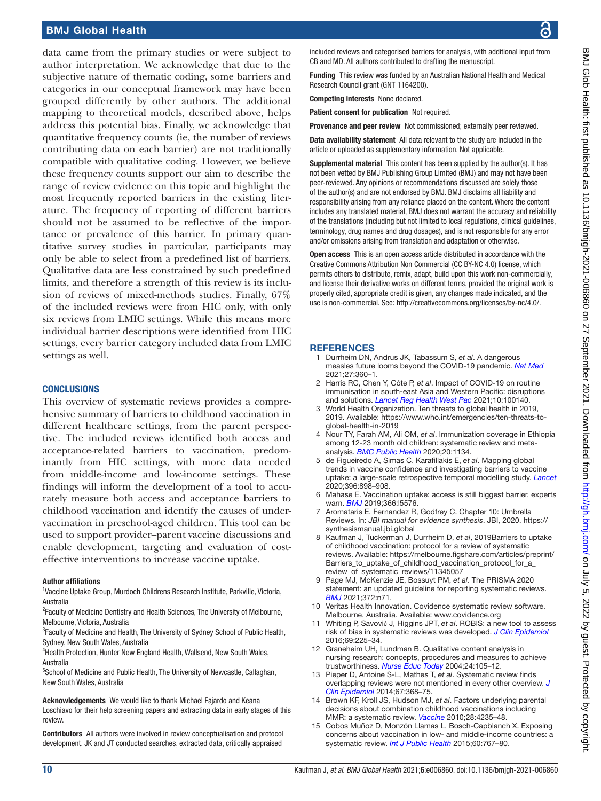# BMJ Global Health

data came from the primary studies or were subject to author interpretation. We acknowledge that due to the subjective nature of thematic coding, some barriers and categories in our conceptual framework may have been grouped differently by other authors. The additional mapping to theoretical models, described above, helps address this potential bias. Finally, we acknowledge that quantitative frequency counts (ie, the number of reviews contributing data on each barrier) are not traditionally compatible with qualitative coding. However, we believe these frequency counts support our aim to describe the range of review evidence on this topic and highlight the most frequently reported barriers in the existing literature. The frequency of reporting of different barriers should not be assumed to be reflective of the importance or prevalence of this barrier. In primary quantitative survey studies in particular, participants may only be able to select from a predefined list of barriers. Qualitative data are less constrained by such predefined limits, and therefore a strength of this review is its inclusion of reviews of mixed-methods studies. Finally, 67% of the included reviews were from HIC only, with only six reviews from LMIC settings. While this means more individual barrier descriptions were identified from HIC settings, every barrier category included data from LMIC settings as well.

#### **CONCLUSIONS**

This overview of systematic reviews provides a comprehensive summary of barriers to childhood vaccination in different healthcare settings, from the parent perspective. The included reviews identified both access and acceptance-related barriers to vaccination, predominantly from HIC settings, with more data needed from middle-income and low-income settings. These findings will inform the development of a tool to accurately measure both access and acceptance barriers to childhood vaccination and identify the causes of undervaccination in preschool-aged children. This tool can be used to support provider–parent vaccine discussions and enable development, targeting and evaluation of costeffective interventions to increase vaccine uptake.

#### Author affiliations

<sup>1</sup>Vaccine Uptake Group, Murdoch Childrens Research Institute, Parkville, Victoria, Australia

<sup>2</sup> Faculty of Medicine Dentistry and Health Sciences, The University of Melbourne, Melbourne, Victoria, Australia

<sup>3</sup> Faculty of Medicine and Health, The University of Sydney School of Public Health, Sydney, New South Wales, Australia

4 Health Protection, Hunter New England Health, Wallsend, New South Wales, Australia

<sup>5</sup>School of Medicine and Public Health, The University of Newcastle, Callaghan, New South Wales, Australia

Acknowledgements We would like to thank Michael Fajardo and Keana Loschiavo for their help screening papers and extracting data in early stages of this review.

Contributors All authors were involved in review conceptualisation and protocol development. JK and JT conducted searches, extracted data, critically appraised

Funding This review was funded by an Australian National Health and Medical Research Council grant (GNT 1164200).

Competing interests None declared.

Patient consent for publication Not required.

Provenance and peer review Not commissioned; externally peer reviewed.

Data availability statement All data relevant to the study are included in the article or uploaded as supplementary information. Not applicable.

Supplemental material This content has been supplied by the author(s). It has not been vetted by BMJ Publishing Group Limited (BMJ) and may not have been peer-reviewed. Any opinions or recommendations discussed are solely those of the author(s) and are not endorsed by BMJ. BMJ disclaims all liability and responsibility arising from any reliance placed on the content. Where the content includes any translated material, BMJ does not warrant the accuracy and reliability of the translations (including but not limited to local regulations, clinical guidelines, terminology, drug names and drug dosages), and is not responsible for any error and/or omissions arising from translation and adaptation or otherwise.

Open access This is an open access article distributed in accordance with the Creative Commons Attribution Non Commercial (CC BY-NC 4.0) license, which permits others to distribute, remix, adapt, build upon this work non-commercially, and license their derivative works on different terms, provided the original work is properly cited, appropriate credit is given, any changes made indicated, and the use is non-commercial. See: [http://creativecommons.org/licenses/by-nc/4.0/.](http://creativecommons.org/licenses/by-nc/4.0/)

#### **REFERENCES**

- <span id="page-9-0"></span>1 Durrheim DN, Andrus JK, Tabassum S, *et al*. A dangerous measles future looms beyond the COVID-19 pandemic. *[Nat Med](http://dx.doi.org/10.1038/s41591-021-01237-5)* 2021;27:360–1.
- <span id="page-9-1"></span>2 Harris RC, Chen Y, Côte P, *et al*. Impact of COVID-19 on routine immunisation in south-east Asia and Western Pacific: disruptions and solutions. *[Lancet Reg Health West Pac](http://dx.doi.org/10.1016/j.lanwpc.2021.100140)* 2021;10:100140.
- <span id="page-9-2"></span>3 World Health Organization. Ten threats to global health in 2019, 2019. Available: [https://www.who.int/emergencies/ten-threats-to](https://www.who.int/emergencies/ten-threats-to-global-health-in-2019)[global-health-in-2019](https://www.who.int/emergencies/ten-threats-to-global-health-in-2019)
- <span id="page-9-3"></span>4 Nour TY, Farah AM, Ali OM, *et al*. Immunization coverage in Ethiopia among 12-23 month old children: systematic review and metaanalysis. *[BMC Public Health](http://dx.doi.org/10.1186/s12889-020-09118-1)* 2020;20:1134.
- 5 de Figueiredo A, Simas C, Karafillakis E, *et al*. Mapping global trends in vaccine confidence and investigating barriers to vaccine uptake: a large-scale retrospective temporal modelling study. *[Lancet](http://dx.doi.org/10.1016/S0140-6736(20)31558-0)* 2020;396:898–908.
- <span id="page-9-4"></span>6 Mahase E. Vaccination uptake: access is still biggest barrier, experts warn. *[BMJ](http://dx.doi.org/10.1136/bmj.l5576)* 2019;366:l5576.
- <span id="page-9-5"></span>7 Aromataris E, Fernandez R, Godfrey C. Chapter 10: Umbrella Reviews. In: *JBI manual for evidence synthesis*. JBI, 2020. [https://](https://synthesismanual.jbi.global) [synthesismanual.jbi.global](https://synthesismanual.jbi.global)
- <span id="page-9-6"></span>8 Kaufman J, Tuckerman J, Durrheim D, *et al*, 2019Barriers to uptake of childhood vaccination: protocol for a review of systematic reviews. Available: [https://melbourne.figshare.com/articles/preprint/](https://melbourne.figshare.com/articles/preprint/Barriers_to_uptake_of_childhood_vaccination_protocol_for_a_review_of_systematic_reviews/11345057) [Barriers\\_to\\_uptake\\_of\\_childhood\\_vaccination\\_protocol\\_for\\_a\\_](https://melbourne.figshare.com/articles/preprint/Barriers_to_uptake_of_childhood_vaccination_protocol_for_a_review_of_systematic_reviews/11345057) [review\\_of\\_systematic\\_reviews/11345057](https://melbourne.figshare.com/articles/preprint/Barriers_to_uptake_of_childhood_vaccination_protocol_for_a_review_of_systematic_reviews/11345057)
- <span id="page-9-7"></span>9 Page MJ, McKenzie JE, Bossuyt PM, *et al*. The PRISMA 2020 statement: an updated guideline for reporting systematic reviews. *[BMJ](http://dx.doi.org/10.1136/bmj.n71)* 2021;372:n71.
- <span id="page-9-8"></span>10 Veritas Health Innovation. Covidence systematic review software. Melbourne, Australia. Available: <www.covidence.org>
- <span id="page-9-9"></span>11 Whiting P, Savović J, Higgins JPT, *et al*. ROBIS: a new tool to assess risk of bias in systematic reviews was developed. *[J Clin Epidemiol](http://dx.doi.org/10.1016/j.jclinepi.2015.06.005)* 2016;69:225–34.
- <span id="page-9-10"></span>12 Graneheim UH, Lundman B. Qualitative content analysis in nursing research: concepts, procedures and measures to achieve trustworthiness. *[Nurse Educ Today](http://dx.doi.org/10.1016/j.nedt.2003.10.001)* 2004;24:105–12.
- <span id="page-9-11"></span>13 Pieper D, Antoine S-L, Mathes T, *et al*. Systematic review finds overlapping reviews were not mentioned in every other overview. *[J](http://dx.doi.org/10.1016/j.jclinepi.2013.11.007)  [Clin Epidemiol](http://dx.doi.org/10.1016/j.jclinepi.2013.11.007)* 2014;67:368–75.
- <span id="page-9-12"></span>14 Brown KF, Kroll JS, Hudson MJ, *et al*. Factors underlying parental decisions about combination childhood vaccinations including MMR: a systematic review. *[Vaccine](http://dx.doi.org/10.1016/j.vaccine.2010.04.052)* 2010;28:4235–48.
- <span id="page-9-13"></span>15 Cobos Muñoz D, Monzón Llamas L, Bosch-Capblanch X. Exposing concerns about vaccination in low- and middle-income countries: a systematic review. *[Int J Public Health](http://dx.doi.org/10.1007/s00038-015-0715-6)* 2015;60:767–80.